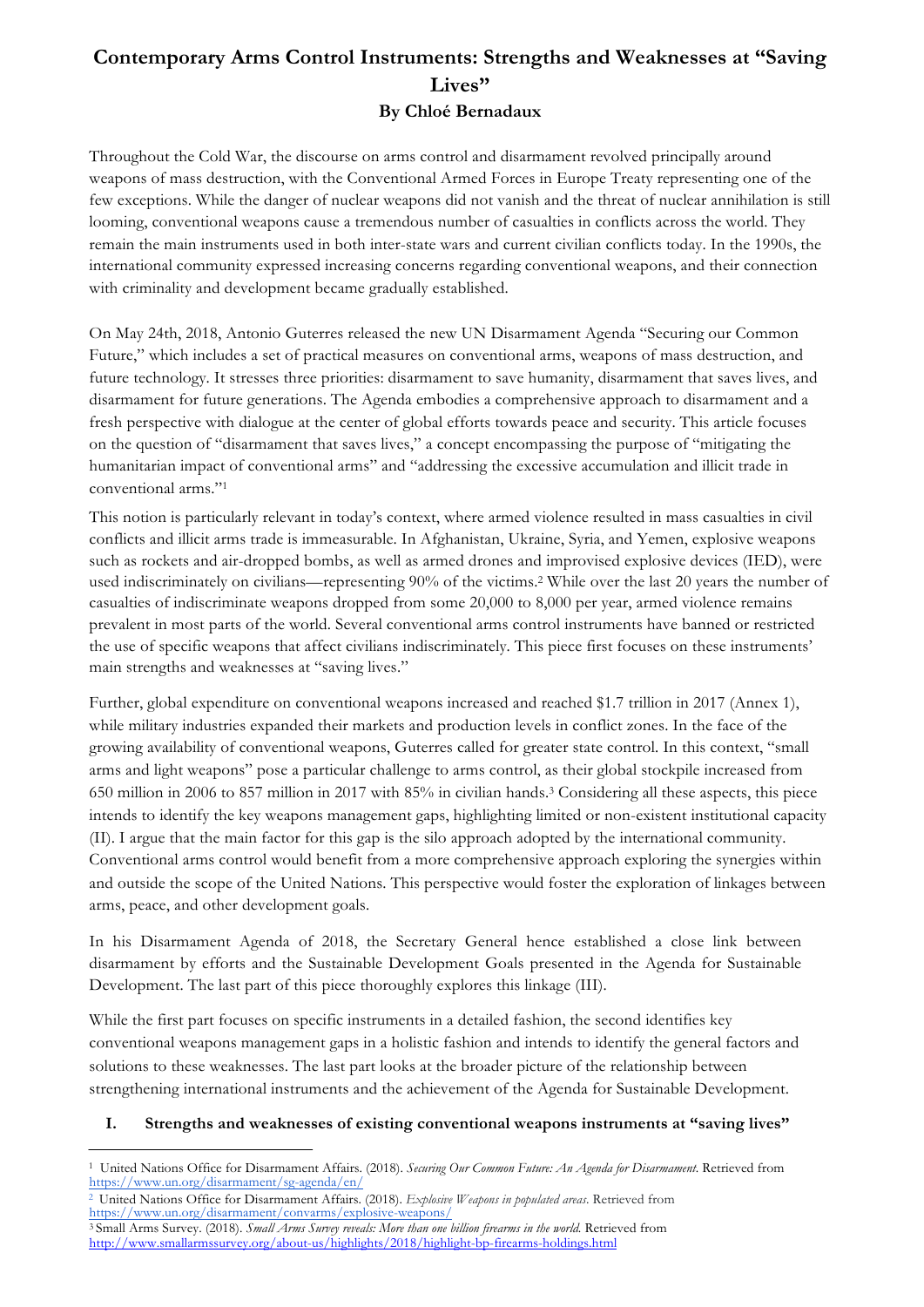# **Contemporary Arms Control Instruments: Strengths and Weaknesses at "Saving Lives"**

# **By Chloé Bernadaux**

Throughout the Cold War, the discourse on arms control and disarmament revolved principally around weapons of mass destruction, with the Conventional Armed Forces in Europe Treaty representing one of the few exceptions. While the danger of nuclear weapons did not vanish and the threat of nuclear annihilation is still looming, conventional weapons cause a tremendous number of casualties in conflicts across the world. They remain the main instruments used in both inter-state wars and current civilian conflicts today. In the 1990s, the international community expressed increasing concerns regarding conventional weapons, and their connection with criminality and development became gradually established.

On May 24th, 2018, Antonio Guterres released the new UN Disarmament Agenda "Securing our Common Future," which includes a set of practical measures on conventional arms, weapons of mass destruction, and future technology. It stresses three priorities: disarmament to save humanity, disarmament that saves lives, and disarmament for future generations. The Agenda embodies a comprehensive approach to disarmament and a fresh perspective with dialogue at the center of global efforts towards peace and security. This article focuses on the question of "disarmament that saves lives," a concept encompassing the purpose of "mitigating the humanitarian impact of conventional arms" and "addressing the excessive accumulation and illicit trade in conventional arms."1

This notion is particularly relevant in today's context, where armed violence resulted in mass casualties in civil conflicts and illicit arms trade is immeasurable. In Afghanistan, Ukraine, Syria, and Yemen, explosive weapons such as rockets and air-dropped bombs, as well as armed drones and improvised explosive devices (IED), were used indiscriminately on civilians—representing 90% of the victims.2 While over the last 20 years the number of casualties of indiscriminate weapons dropped from some 20,000 to 8,000 per year, armed violence remains prevalent in most parts of the world. Several conventional arms control instruments have banned or restricted the use of specific weapons that affect civilians indiscriminately. This piece first focuses on these instruments' main strengths and weaknesses at "saving lives."

Further, global expenditure on conventional weapons increased and reached \$1.7 trillion in 2017 (Annex 1), while military industries expanded their markets and production levels in conflict zones. In the face of the growing availability of conventional weapons, Guterres called for greater state control. In this context, "small arms and light weapons" pose a particular challenge to arms control, as their global stockpile increased from 650 million in 2006 to 857 million in 2017 with 85% in civilian hands.3 Considering all these aspects, this piece intends to identify the key weapons management gaps, highlighting limited or non-existent institutional capacity (II). I argue that the main factor for this gap is the silo approach adopted by the international community. Conventional arms control would benefit from a more comprehensive approach exploring the synergies within and outside the scope of the United Nations. This perspective would foster the exploration of linkages between arms, peace, and other development goals.

In his Disarmament Agenda of 2018, the Secretary General hence established a close link between disarmament by efforts and the Sustainable Development Goals presented in the Agenda for Sustainable Development. The last part of this piece thoroughly explores this linkage (III).

While the first part focuses on specific instruments in a detailed fashion, the second identifies key conventional weapons management gaps in a holistic fashion and intends to identify the general factors and solutions to these weaknesses. The last part looks at the broader picture of the relationship between strengthening international instruments and the achievement of the Agenda for Sustainable Development.

#### **I. Strengths and weaknesses of existing conventional weapons instruments at "saving lives"**

<sup>1</sup> United Nations Office for Disarmament Affairs. (2018). *Securing Our Common Future: An Agenda for Disarmament*. Retrieved from https://www.un.org/disarmament/sg-agenda/en/

<sup>2</sup> United Nations Office for Disarmament Affairs. (2018). *Explosive Weapons in populated areas*. Retrieved from https://www.un.org/disarmament/convarms/explosive-weapons/

<sup>3</sup> Small Arms Survey. (2018). *Small Arms Survey reveals: More than one billion firearms in the world.* Retrieved from http://www.smallarmssurvey.org/about-us/highlights/2018/highlight-bp-firearms-holdings.html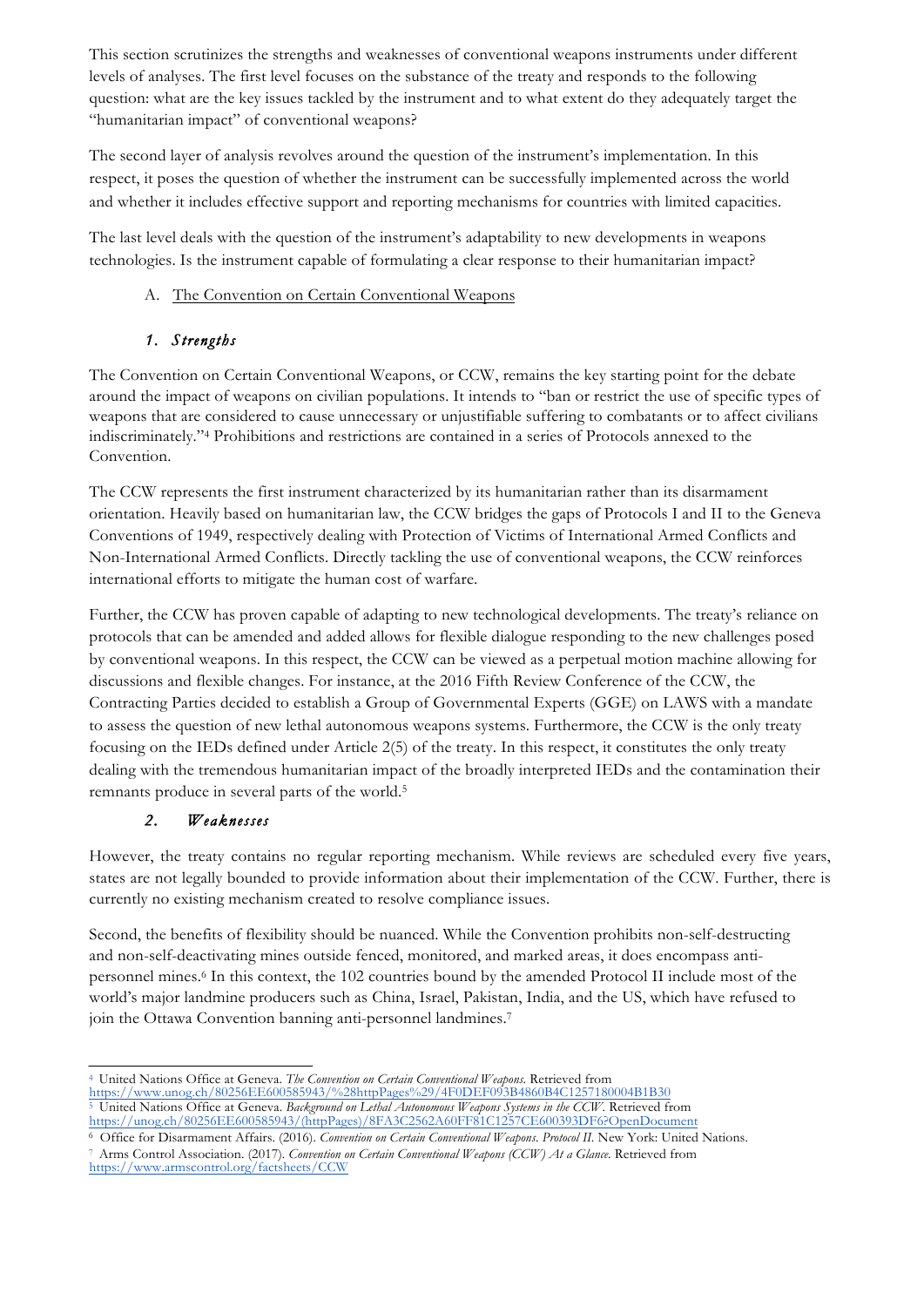This section scrutinizes the strengths and weaknesses of conventional weapons instruments under different levels of analyses. The first level focuses on the substance of the treaty and responds to the following question: what are the key issues tackled by the instrument and to what extent do they adequately target the "humanitarian impact" of conventional weapons?

The second layer of analysis revolves around the question of the instrument's implementation. In this respect, it poses the question of whether the instrument can be successfully implemented across the world and whether it includes effective support and reporting mechanisms for countries with limited capacities.

The last level deals with the question of the instrument's adaptability to new developments in weapons technologies. Is the instrument capable of formulating a clear response to their humanitarian impact?

### A. The Convention on Certain Conventional Weapons

# *1. Strengths*

The Convention on Certain Conventional Weapons, or CCW, remains the key starting point for the debate around the impact of weapons on civilian populations. It intends to "ban or restrict the use of specific types of weapons that are considered to cause unnecessary or unjustifiable suffering to combatants or to affect civilians indiscriminately."4 Prohibitions and restrictions are contained in a series of Protocols annexed to the Convention.

The CCW represents the first instrument characterized by its humanitarian rather than its disarmament orientation. Heavily based on humanitarian law, the CCW bridges the gaps of Protocols I and II to the Geneva Conventions of 1949, respectively dealing with Protection of Victims of International Armed Conflicts and Non-International Armed Conflicts. Directly tackling the use of conventional weapons, the CCW reinforces international efforts to mitigate the human cost of warfare.

Further, the CCW has proven capable of adapting to new technological developments. The treaty's reliance on protocols that can be amended and added allows for flexible dialogue responding to the new challenges posed by conventional weapons. In this respect, the CCW can be viewed as a perpetual motion machine allowing for discussions and flexible changes. For instance, at the 2016 Fifth Review Conference of the CCW, the Contracting Parties decided to establish a Group of Governmental Experts (GGE) on LAWS with a mandate to assess the question of new lethal autonomous weapons systems. Furthermore, the CCW is the only treaty focusing on the IEDs defined under Article 2(5) of the treaty. In this respect, it constitutes the only treaty dealing with the tremendous humanitarian impact of the broadly interpreted IEDs and the contamination their remnants produce in several parts of the world.5

# *2. Weaknesses*

However, the treaty contains no regular reporting mechanism. While reviews are scheduled every five years, states are not legally bounded to provide information about their implementation of the CCW. Further, there is currently no existing mechanism created to resolve compliance issues.

Second, the benefits of flexibility should be nuanced. While the Convention prohibits non-self-destructing and non-self-deactivating mines outside fenced, monitored, and marked areas, it does encompass antipersonnel mines.6 In this context, the 102 countries bound by the amended Protocol II include most of the world's major landmine producers such as China, Israel, Pakistan, India, and the US, which have refused to join the Ottawa Convention banning anti-personnel landmines.7

<sup>4</sup> United Nations Office at Geneva. *The Convention on Certain Conventional Weapons.* Retrieved from https://www.unog.ch/80256EE600585943/%28httpPages%29/4F0DEF093B4860B4C1257180004B1B30 <sup>5</sup> United Nations Office at Geneva. *Background on Lethal Autonomous Weapons Systems in the CCW.* Retrieved from

https://unog.ch/80256EE600585943/(httpPages)/8FA3C2562A60FF81C1257CE600393DF6?OpenDocument <sup>6</sup> Office for Disarmament Affairs. (2016). *Convention on Certain Conventional Weapons*. *Protocol II.* New York: United Nations.

<sup>7</sup> Arms Control Association. (2017). *Convention on Certain Conventional Weapons (CCW) At a Glance.* Retrieved from https://www.armscontrol.org/factsheets/CCW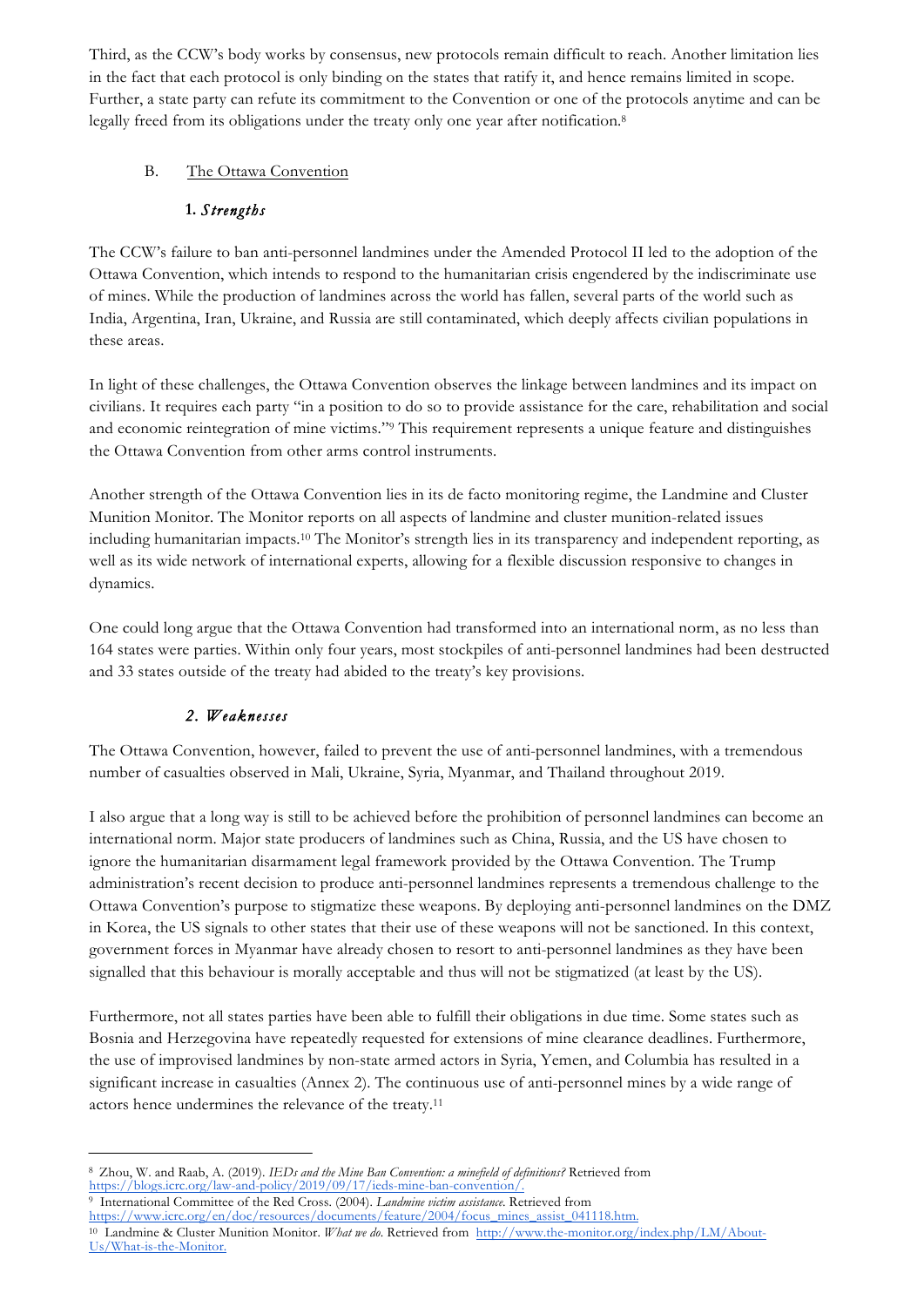Third, as the CCW's body works by consensus, new protocols remain difficult to reach. Another limitation lies in the fact that each protocol is only binding on the states that ratify it, and hence remains limited in scope. Further, a state party can refute its commitment to the Convention or one of the protocols anytime and can be legally freed from its obligations under the treaty only one year after notification.<sup>8</sup>

# B. The Ottawa Convention

# **1.** *Strengths*

The CCW's failure to ban anti-personnel landmines under the Amended Protocol II led to the adoption of the Ottawa Convention, which intends to respond to the humanitarian crisis engendered by the indiscriminate use of mines. While the production of landmines across the world has fallen, several parts of the world such as India, Argentina, Iran, Ukraine, and Russia are still contaminated, which deeply affects civilian populations in these areas.

In light of these challenges, the Ottawa Convention observes the linkage between landmines and its impact on civilians. It requires each party "in a position to do so to provide assistance for the care, rehabilitation and social and economic reintegration of mine victims."9 This requirement represents a unique feature and distinguishes the Ottawa Convention from other arms control instruments.

Another strength of the Ottawa Convention lies in its de facto monitoring regime, the Landmine and Cluster Munition Monitor. The Monitor reports on all aspects of landmine and cluster munition-related issues including humanitarian impacts.10 The Monitor's strength lies in its transparency and independent reporting, as well as its wide network of international experts, allowing for a flexible discussion responsive to changes in dynamics.

One could long argue that the Ottawa Convention had transformed into an international norm, as no less than 164 states were parties. Within only four years, most stockpiles of anti-personnel landmines had been destructed and 33 states outside of the treaty had abided to the treaty's key provisions.

# *2. Weaknesses*

The Ottawa Convention, however, failed to prevent the use of anti-personnel landmines, with a tremendous number of casualties observed in Mali, Ukraine, Syria, Myanmar, and Thailand throughout 2019.

I also argue that a long way is still to be achieved before the prohibition of personnel landmines can become an international norm. Major state producers of landmines such as China, Russia, and the US have chosen to ignore the humanitarian disarmament legal framework provided by the Ottawa Convention. The Trump administration's recent decision to produce anti-personnel landmines represents a tremendous challenge to the Ottawa Convention's purpose to stigmatize these weapons. By deploying anti-personnel landmines on the DMZ in Korea, the US signals to other states that their use of these weapons will not be sanctioned. In this context, government forces in Myanmar have already chosen to resort to anti-personnel landmines as they have been signalled that this behaviour is morally acceptable and thus will not be stigmatized (at least by the US).

Furthermore, not all states parties have been able to fulfill their obligations in due time. Some states such as Bosnia and Herzegovina have repeatedly requested for extensions of mine clearance deadlines. Furthermore, the use of improvised landmines by non-state armed actors in Syria, Yemen, and Columbia has resulted in a significant increase in casualties (Annex 2). The continuous use of anti-personnel mines by a wide range of actors hence undermines the relevance of the treaty.11

<sup>8</sup> Zhou, W. and Raab, A. (2019). *IEDs and the Mine Ban Convention: a minefield of definitions?* Retrieved from https://blogs.icrc.org/law-and-policy/2019/09/17/ieds-mine-ban-convention/.

<sup>9</sup> International Committee of the Red Cross. (2004). *Landmine victim assistance*. Retrieved from https://www.icrc.org/en/doc/resources/documents/feature/2004/focus\_mines\_assist\_041118.htm.

<sup>10</sup> Landmine & Cluster Munition Monitor. *What we do*. Retrieved from http://www.the-monitor.org/index.php/LM/About- Us/What-is-the-Monitor.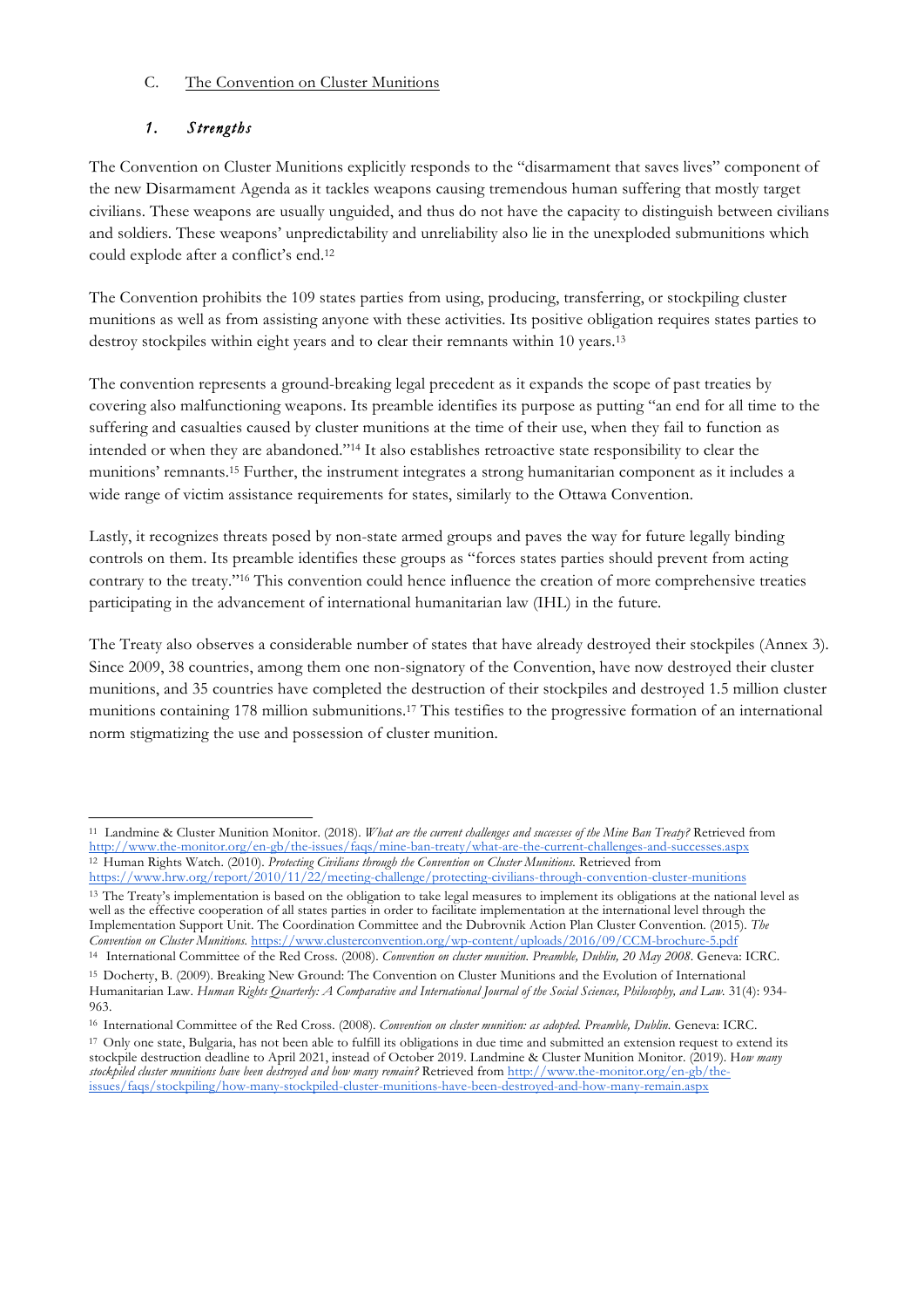#### C. The Convention on Cluster Munitions

# *1. Strengths*

The Convention on Cluster Munitions explicitly responds to the "disarmament that saves lives" component of the new Disarmament Agenda as it tackles weapons causing tremendous human suffering that mostly target civilians. These weapons are usually unguided, and thus do not have the capacity to distinguish between civilians and soldiers. These weapons' unpredictability and unreliability also lie in the unexploded submunitions which could explode after a conflict's end.12

The Convention prohibits the 109 states parties from using, producing, transferring, or stockpiling cluster munitions as well as from assisting anyone with these activities. Its positive obligation requires states parties to destroy stockpiles within eight years and to clear their remnants within 10 years.<sup>13</sup>

The convention represents a ground-breaking legal precedent as it expands the scope of past treaties by covering also malfunctioning weapons. Its preamble identifies its purpose as putting "an end for all time to the suffering and casualties caused by cluster munitions at the time of their use, when they fail to function as intended or when they are abandoned."14 It also establishes retroactive state responsibility to clear the munitions' remnants.15 Further, the instrument integrates a strong humanitarian component as it includes a wide range of victim assistance requirements for states, similarly to the Ottawa Convention.

Lastly, it recognizes threats posed by non-state armed groups and paves the way for future legally binding controls on them. Its preamble identifies these groups as "forces states parties should prevent from acting contrary to the treaty."16 This convention could hence influence the creation of more comprehensive treaties participating in the advancement of international humanitarian law (IHL) in the future.

The Treaty also observes a considerable number of states that have already destroyed their stockpiles (Annex 3). Since 2009, 38 countries, among them one non-signatory of the Convention, have now destroyed their cluster munitions, and 35 countries have completed the destruction of their stockpiles and destroyed 1.5 million cluster munitions containing 178 million submunitions.17 This testifies to the progressive formation of an international norm stigmatizing the use and possession of cluster munition.

<sup>11</sup> Landmine & Cluster Munition Monitor. (2018). *What are the current challenges and successes of the Mine Ban Treaty?* Retrieved from http://www.the-monitor.org/en-gb/the-issues/faqs/mine-ban-treaty/what-are-the-current-challenges-and-successes.aspx <sup>12</sup> Human Rights Watch. (2010). *Protecting Civilians through the Convention on Cluster Munitions.* Retrieved from https://www.hrw.org/report/2010/11/22/meeting-challenge/protecting-civilians-through-convention-cluster-munitions

<sup>&</sup>lt;sup>13</sup> The Treaty's implementation is based on the obligation to take legal measures to implement its obligations at the national level as well as the effective cooperation of all states parties in order to facilitate implementation at the international level through the Implementation Support Unit. The Coordination Committee and the Dubrovnik Action Plan Cluster Convention. (2015). *The Convention on Cluster Munitions.* https://www.clusterconvention.org/wp-content/uploads/2016/09/CCM-brochure-5.pdf

<sup>14</sup> International Committee of the Red Cross. (2008). *Convention on cluster munition. Preamble, Dublin, 20 May 2008*. Geneva: ICRC. <sup>15</sup> Docherty, B. (2009). Breaking New Ground: The Convention on Cluster Munitions and the Evolution of International Humanitarian Law. *Human Rights Quarterly: A Comparative and International Journal of the Social Sciences, Philosophy, and Law.* 31(4): 934- 963.

<sup>16</sup> International Committee of the Red Cross. (2008). *Convention on cluster munition: as adopted. Preamble, Dublin.* Geneva: ICRC. 17 Only one state, Bulgaria, has not been able to fulfill its obligations in due time and submitted an extension request to extend its stockpile destruction deadline to April 2021, instead of October 2019. Landmine & Cluster Munition Monitor. (2019). H*ow many stockpiled cluster munitions have been destroyed and how many remain?* Retrieved from http://www.the-monitor.org/en-gb/theissues/faqs/stockpiling/how-many-stockpiled-cluster-munitions-have-been-destroyed-and-how-many-remain.aspx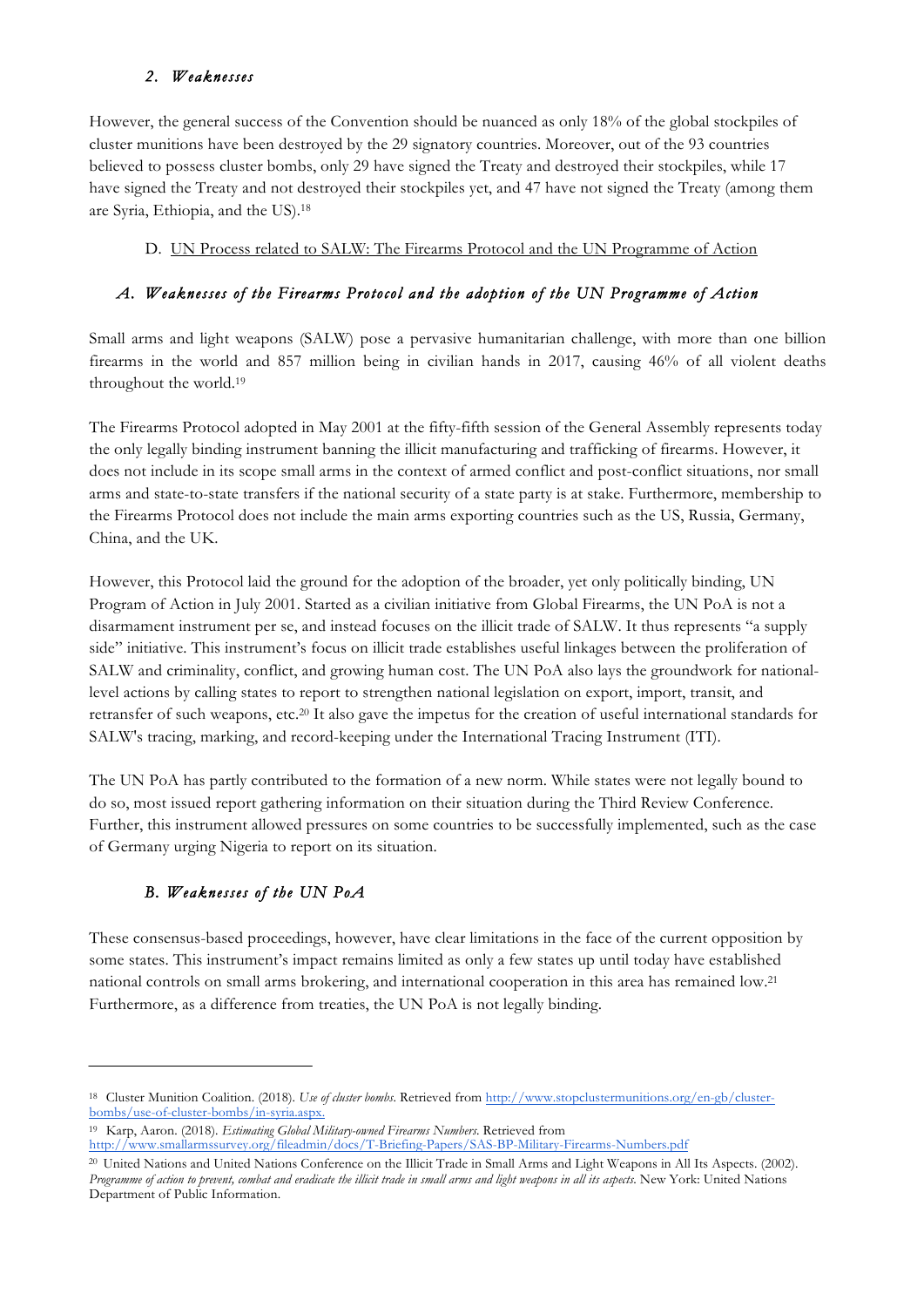# *2. Weaknesses*

However, the general success of the Convention should be nuanced as only 18% of the global stockpiles of cluster munitions have been destroyed by the 29 signatory countries. Moreover, out of the 93 countries believed to possess cluster bombs, only 29 have signed the Treaty and destroyed their stockpiles, while 17 have signed the Treaty and not destroyed their stockpiles yet, and 47 have not signed the Treaty (among them are Syria, Ethiopia, and the US).18

# D. UN Process related to SALW: The Firearms Protocol and the UN Programme of Action

# *A. Weaknesses of the Firearms Protocol and the adoption of the UN Programme of Action*

Small arms and light weapons (SALW) pose a pervasive humanitarian challenge, with more than one billion firearms in the world and 857 million being in civilian hands in 2017, causing 46% of all violent deaths throughout the world.19

The Firearms Protocol adopted in May 2001 at the fifty-fifth session of the General Assembly represents today the only legally binding instrument banning the illicit manufacturing and trafficking of firearms. However, it does not include in its scope small arms in the context of armed conflict and post-conflict situations, nor small arms and state-to-state transfers if the national security of a state party is at stake. Furthermore, membership to the Firearms Protocol does not include the main arms exporting countries such as the US, Russia, Germany, China, and the UK.

However, this Protocol laid the ground for the adoption of the broader, yet only politically binding, UN Program of Action in July 2001. Started as a civilian initiative from Global Firearms, the UN PoA is not a disarmament instrument per se, and instead focuses on the illicit trade of SALW. It thus represents "a supply side" initiative. This instrument's focus on illicit trade establishes useful linkages between the proliferation of SALW and criminality, conflict, and growing human cost. The UN PoA also lays the groundwork for nationallevel actions by calling states to report to strengthen national legislation on export, import, transit, and retransfer of such weapons, etc.20 It also gave the impetus for the creation of useful international standards for SALW's tracing, marking, and record-keeping under the International Tracing Instrument (ITI).

The UN PoA has partly contributed to the formation of a new norm. While states were not legally bound to do so, most issued report gathering information on their situation during the Third Review Conference. Further, this instrument allowed pressures on some countries to be successfully implemented, such as the case of Germany urging Nigeria to report on its situation.

# *B. Weaknesses of the UN PoA*

These consensus-based proceedings, however, have clear limitations in the face of the current opposition by some states. This instrument's impact remains limited as only a few states up until today have established national controls on small arms brokering, and international cooperation in this area has remained low.21 Furthermore, as a difference from treaties, the UN PoA is not legally binding.

<sup>18</sup> Cluster Munition Coalition. (2018). *Use of cluster bombs*. Retrieved from http://www.stopclustermunitions.org/en-gb/clusterbombs/use-of-cluster-bombs/in-syria.aspx.

<sup>19</sup> Karp, Aaron. (2018). *Estimating Global Military-owned Firearms Numbers*. Retrieved from

http://www.smallarmssurvey.org/fileadmin/docs/T-Briefing-Papers/SAS-BP-Military-Firearms-Numbers.pdf

<sup>20</sup> United Nations and United Nations Conference on the Illicit Trade in Small Arms and Light Weapons in All Its Aspects. (2002). *Programme of action to prevent, combat and eradicate the illicit trade in small arms and light weapons in all its aspects*. New York: United Nations Department of Public Information.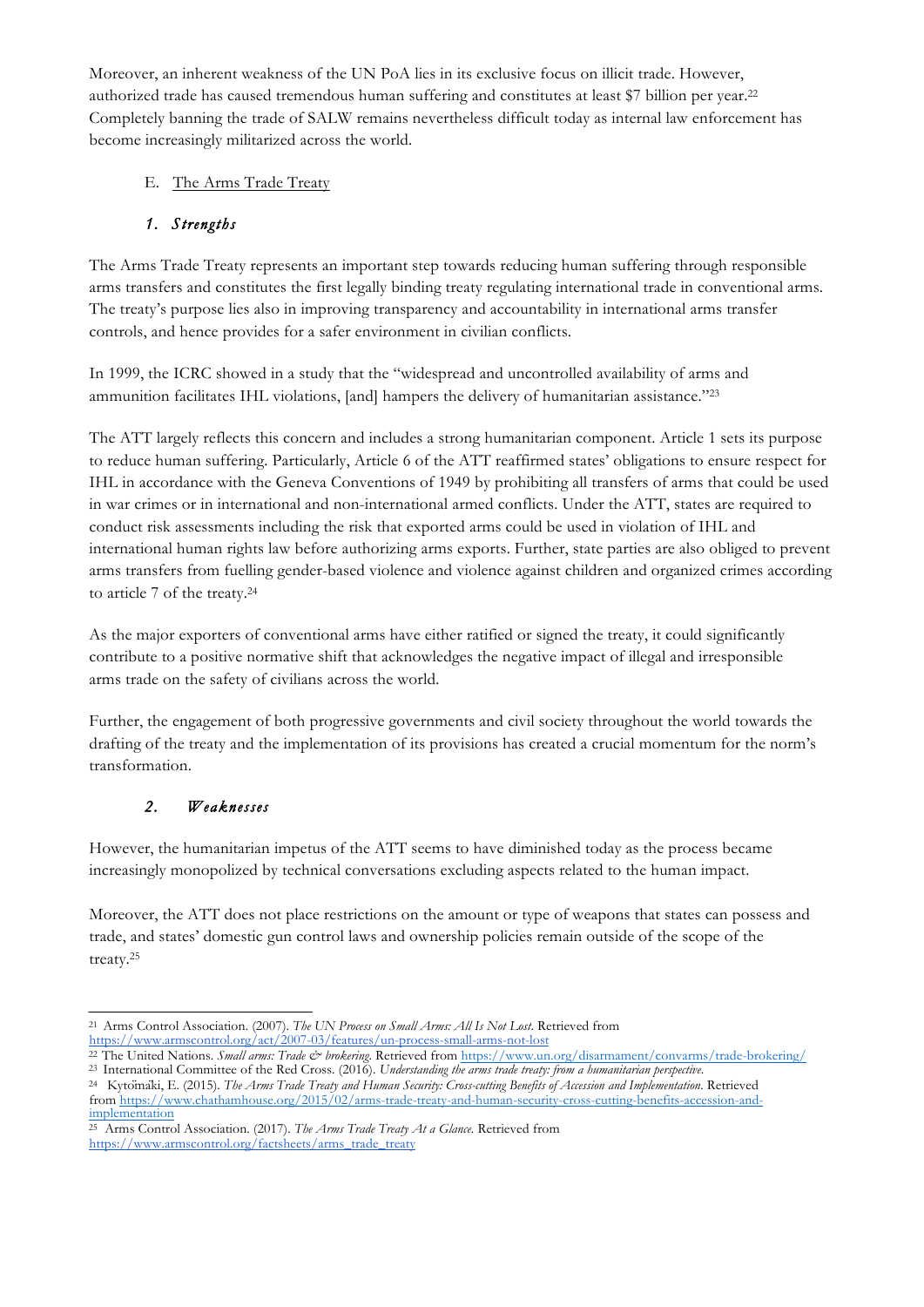Moreover, an inherent weakness of the UN PoA lies in its exclusive focus on illicit trade. However, authorized trade has caused tremendous human suffering and constitutes at least \$7 billion per year.22 Completely banning the trade of SALW remains nevertheless difficult today as internal law enforcement has become increasingly militarized across the world.

### E. The Arms Trade Treaty

# *1. Strengths*

The Arms Trade Treaty represents an important step towards reducing human suffering through responsible arms transfers and constitutes the first legally binding treaty regulating international trade in conventional arms. The treaty's purpose lies also in improving transparency and accountability in international arms transfer controls, and hence provides for a safer environment in civilian conflicts.

In 1999, the ICRC showed in a study that the "widespread and uncontrolled availability of arms and ammunition facilitates IHL violations, [and] hampers the delivery of humanitarian assistance."23

The ATT largely reflects this concern and includes a strong humanitarian component. Article 1 sets its purpose to reduce human suffering. Particularly, Article 6 of the ATT reaffirmed states' obligations to ensure respect for IHL in accordance with the Geneva Conventions of 1949 by prohibiting all transfers of arms that could be used in war crimes or in international and non-international armed conflicts. Under the ATT, states are required to conduct risk assessments including the risk that exported arms could be used in violation of IHL and international human rights law before authorizing arms exports. Further, state parties are also obliged to prevent arms transfers from fuelling gender-based violence and violence against children and organized crimes according to article 7 of the treaty.24

As the major exporters of conventional arms have either ratified or signed the treaty, it could significantly contribute to a positive normative shift that acknowledges the negative impact of illegal and irresponsible arms trade on the safety of civilians across the world.

Further, the engagement of both progressive governments and civil society throughout the world towards the drafting of the treaty and the implementation of its provisions has created a crucial momentum for the norm's transformation.

# *2. Weaknesses*

However, the humanitarian impetus of the ATT seems to have diminished today as the process became increasingly monopolized by technical conversations excluding aspects related to the human impact.

Moreover, the ATT does not place restrictions on the amount or type of weapons that states can possess and trade, and states' domestic gun control laws and ownership policies remain outside of the scope of the treaty.25

<sup>21</sup> Arms Control Association. (2007). *The UN Process on Small Arms: All Is Not Lost*. Retrieved from https://www.armscontrol.org/act/2007-03/features/un-process-small-arms-not-lost

<sup>&</sup>lt;sup>22</sup> The United Nations. *Small arms: Trade & brokering*. Retrieved from https://www.un.org/disarmament/convarms/trade-brokering/ <sup>23</sup> International Committee of the Red Cross. (2016). *Understanding the arms trade treaty: from a humanitarian perspective*.

<sup>24</sup> Kytömäki, E. (2015). *The Arms Trade Treaty and Human Security: Cross-cutting Benefits of Accession and Implementation*. Retrieved from https://www.chathamhouse.org/2015/02/arms-trade-treaty-and-human-security-cross-cutting-benefits-accession-andimplementation

<sup>25</sup> Arms Control Association. (2017). *The Arms Trade Treaty At a Glance.* Retrieved from https://www.armscontrol.org/factsheets/arms\_trade\_treaty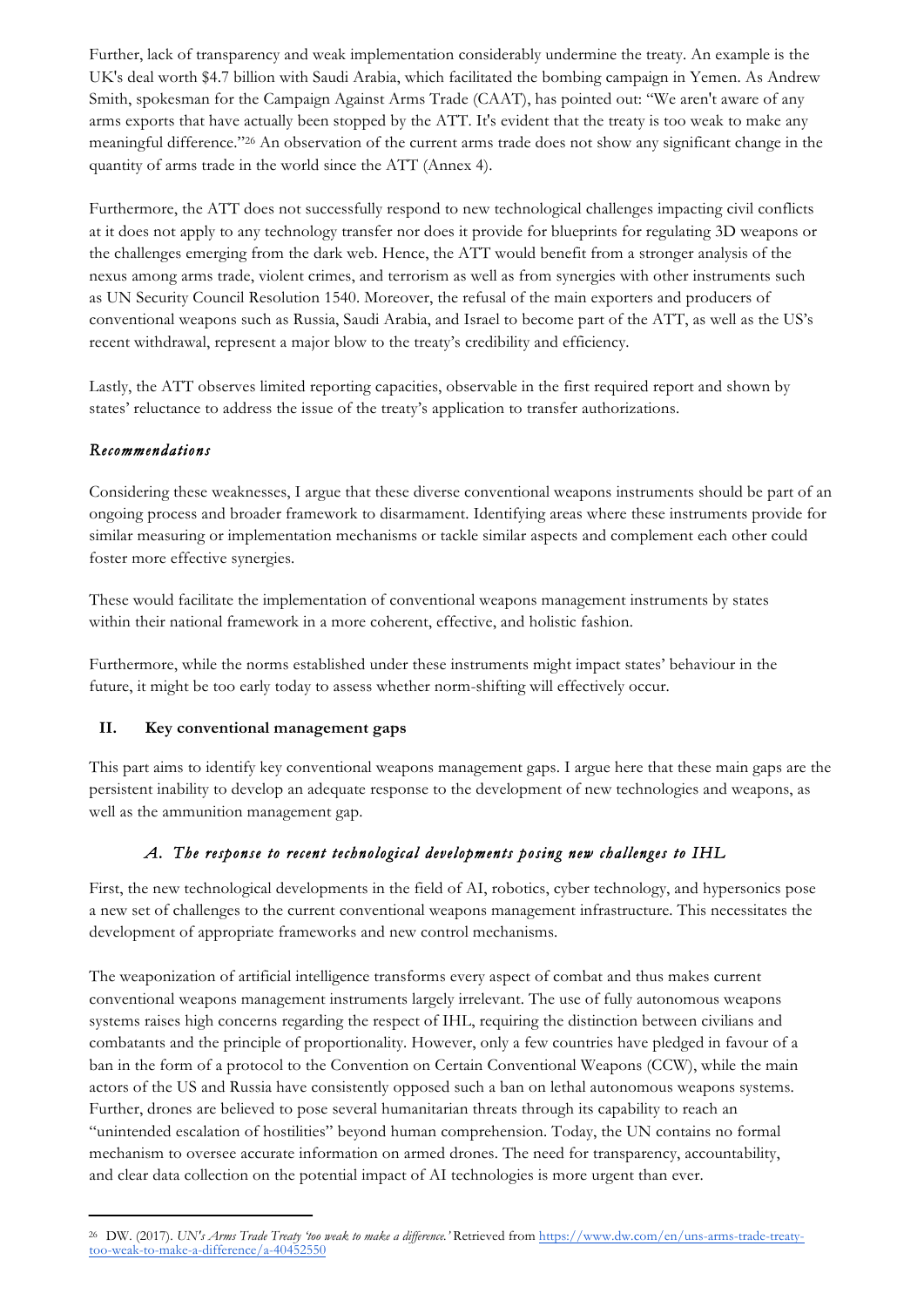Further, lack of transparency and weak implementation considerably undermine the treaty. An example is the UK's deal worth \$4.7 billion with Saudi Arabia, which facilitated the bombing campaign in Yemen. As Andrew Smith, spokesman for the Campaign Against Arms Trade (CAAT), has pointed out: "We aren't aware of any arms exports that have actually been stopped by the ATT. It's evident that the treaty is too weak to make any meaningful difference."26 An observation of the current arms trade does not show any significant change in the quantity of arms trade in the world since the ATT (Annex 4).

Furthermore, the ATT does not successfully respond to new technological challenges impacting civil conflicts at it does not apply to any technology transfer nor does it provide for blueprints for regulating 3D weapons or the challenges emerging from the dark web. Hence, the ATT would benefit from a stronger analysis of the nexus among arms trade, violent crimes, and terrorism as well as from synergies with other instruments such as UN Security Council Resolution 1540. Moreover, the refusal of the main exporters and producers of conventional weapons such as Russia, Saudi Arabia, and Israel to become part of the ATT, as well as the US's recent withdrawal, represent a major blow to the treaty's credibility and efficiency.

Lastly, the ATT observes limited reporting capacities, observable in the first required report and shown by states' reluctance to address the issue of the treaty's application to transfer authorizations.

# *Recommendations*

Considering these weaknesses, I argue that these diverse conventional weapons instruments should be part of an ongoing process and broader framework to disarmament. Identifying areas where these instruments provide for similar measuring or implementation mechanisms or tackle similar aspects and complement each other could foster more effective synergies.

These would facilitate the implementation of conventional weapons management instruments by states within their national framework in a more coherent, effective, and holistic fashion.

Furthermore, while the norms established under these instruments might impact states' behaviour in the future, it might be too early today to assess whether norm-shifting will effectively occur.

### **II. Key conventional management gaps**

This part aims to identify key conventional weapons management gaps. I argue here that these main gaps are the persistent inability to develop an adequate response to the development of new technologies and weapons, as well as the ammunition management gap.

# *A. The response to recent technological developments posing new challenges to IHL*

First, the new technological developments in the field of AI, robotics, cyber technology, and hypersonics pose a new set of challenges to the current conventional weapons management infrastructure. This necessitates the development of appropriate frameworks and new control mechanisms.

The weaponization of artificial intelligence transforms every aspect of combat and thus makes current conventional weapons management instruments largely irrelevant. The use of fully autonomous weapons systems raises high concerns regarding the respect of IHL, requiring the distinction between civilians and combatants and the principle of proportionality. However, only a few countries have pledged in favour of a ban in the form of a protocol to the Convention on Certain Conventional Weapons (CCW), while the main actors of the US and Russia have consistently opposed such a ban on lethal autonomous weapons systems. Further, drones are believed to pose several humanitarian threats through its capability to reach an "unintended escalation of hostilities" beyond human comprehension. Today, the UN contains no formal mechanism to oversee accurate information on armed drones. The need for transparency, accountability, and clear data collection on the potential impact of AI technologies is more urgent than ever.

<sup>26</sup> DW. (2017). *UN's Arms Trade Treaty 'too weak to make a difference.'* Retrieved from https://www.dw.com/en/uns-arms-trade-treaty- too-weak-to-make-a-difference/a-40452550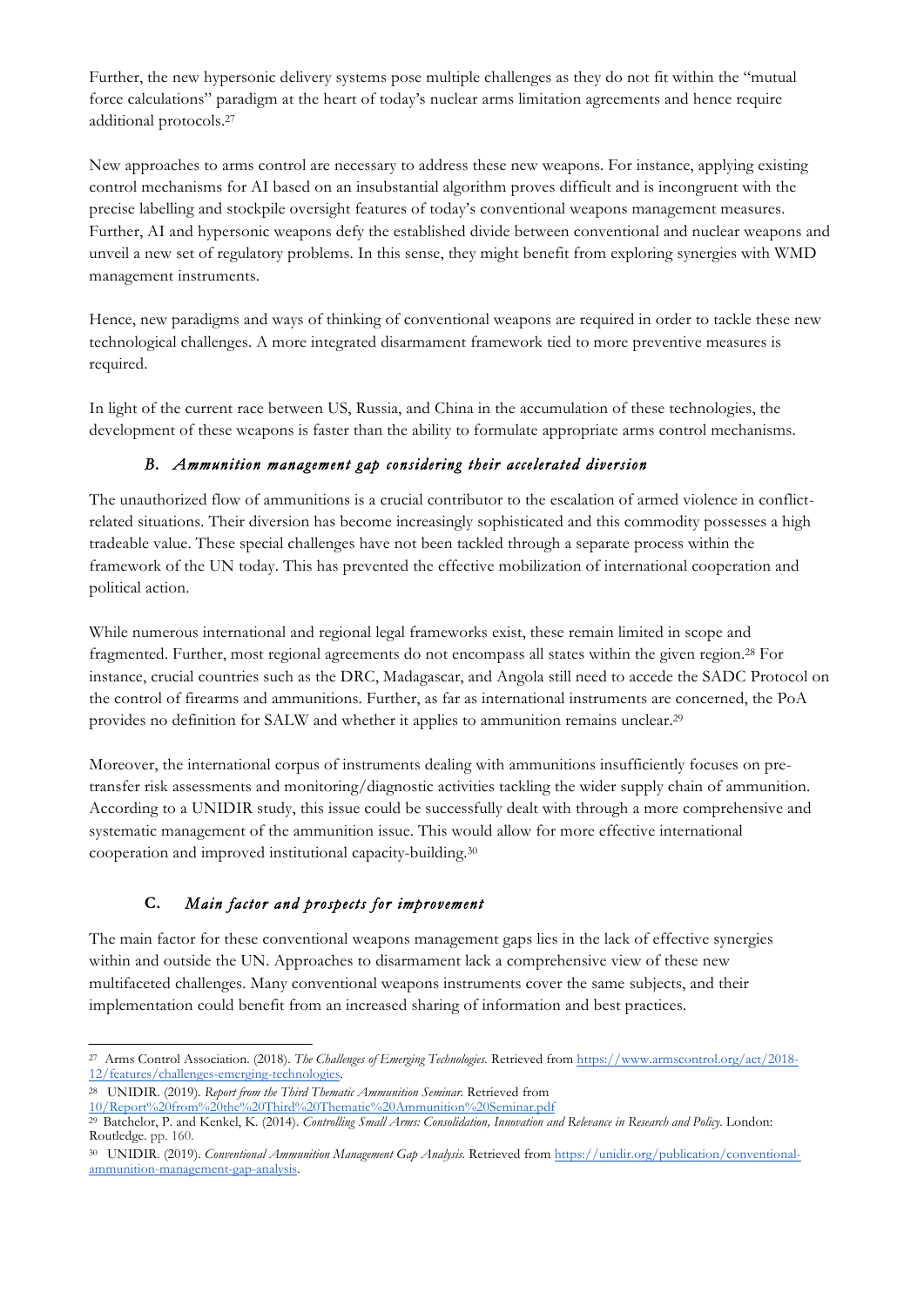Further, the new hypersonic delivery systems pose multiple challenges as they do not fit within the "mutual force calculations" paradigm at the heart of today's nuclear arms limitation agreements and hence require additional protocols.27

New approaches to arms control are necessary to address these new weapons. For instance, applying existing control mechanisms for AI based on an insubstantial algorithm proves difficult and is incongruent with the precise labelling and stockpile oversight features of today's conventional weapons management measures. Further, AI and hypersonic weapons defy the established divide between conventional and nuclear weapons and unveil a new set of regulatory problems. In this sense, they might benefit from exploring synergies with WMD management instruments.

Hence, new paradigms and ways of thinking of conventional weapons are required in order to tackle these new technological challenges. A more integrated disarmament framework tied to more preventive measures is required.

In light of the current race between US, Russia, and China in the accumulation of these technologies, the development of these weapons is faster than the ability to formulate appropriate arms control mechanisms.

### *B. Ammunition management gap considering their accelerated diversion*

The unauthorized flow of ammunitions is a crucial contributor to the escalation of armed violence in conflictrelated situations. Their diversion has become increasingly sophisticated and this commodity possesses a high tradeable value. These special challenges have not been tackled through a separate process within the framework of the UN today. This has prevented the effective mobilization of international cooperation and political action.

While numerous international and regional legal frameworks exist, these remain limited in scope and fragmented. Further, most regional agreements do not encompass all states within the given region.28 For instance, crucial countries such as the DRC, Madagascar, and Angola still need to accede the SADC Protocol on the control of firearms and ammunitions. Further, as far as international instruments are concerned, the PoA provides no definition for SALW and whether it applies to ammunition remains unclear.29

Moreover, the international corpus of instruments dealing with ammunitions insufficiently focuses on pretransfer risk assessments and monitoring/diagnostic activities tackling the wider supply chain of ammunition. According to a UNIDIR study, this issue could be successfully dealt with through a more comprehensive and systematic management of the ammunition issue. This would allow for more effective international cooperation and improved institutional capacity-building.30

# **C.** *Main factor and prospects for improvement*

The main factor for these conventional weapons management gaps lies in the lack of effective synergies within and outside the UN. Approaches to disarmament lack a comprehensive view of these new multifaceted challenges. Many conventional weapons instruments cover the same subjects, and their implementation could benefit from an increased sharing of information and best practices.

<sup>27</sup> Arms Control Association. (2018). *The Challenges of Emerging Technologies.* Retrieved from https://www.armscontrol.org/act/2018- 12/features/challenges-emerging-technologies.

<sup>28</sup> UNIDIR. (2019). *Report from the Third Thematic Ammunition Seminar.* Retrieved from

<sup>10/</sup>Report%20from%20the%20Third%20Thematic%20Ammunition%20Seminar.pdf

<sup>29</sup> Batchelor, P. and Kenkel, K. (2014). *Controlling Small Arms: Consolidation, Innovation and Relevance in Research and Policy*. London: Routledge. pp. 160.

<sup>30</sup> UNIDIR. (2019). *Conventional Ammunition Management Gap Analysis.* Retrieved from https://unidir.org/publication/conventionalammunition-management-gap-analysis.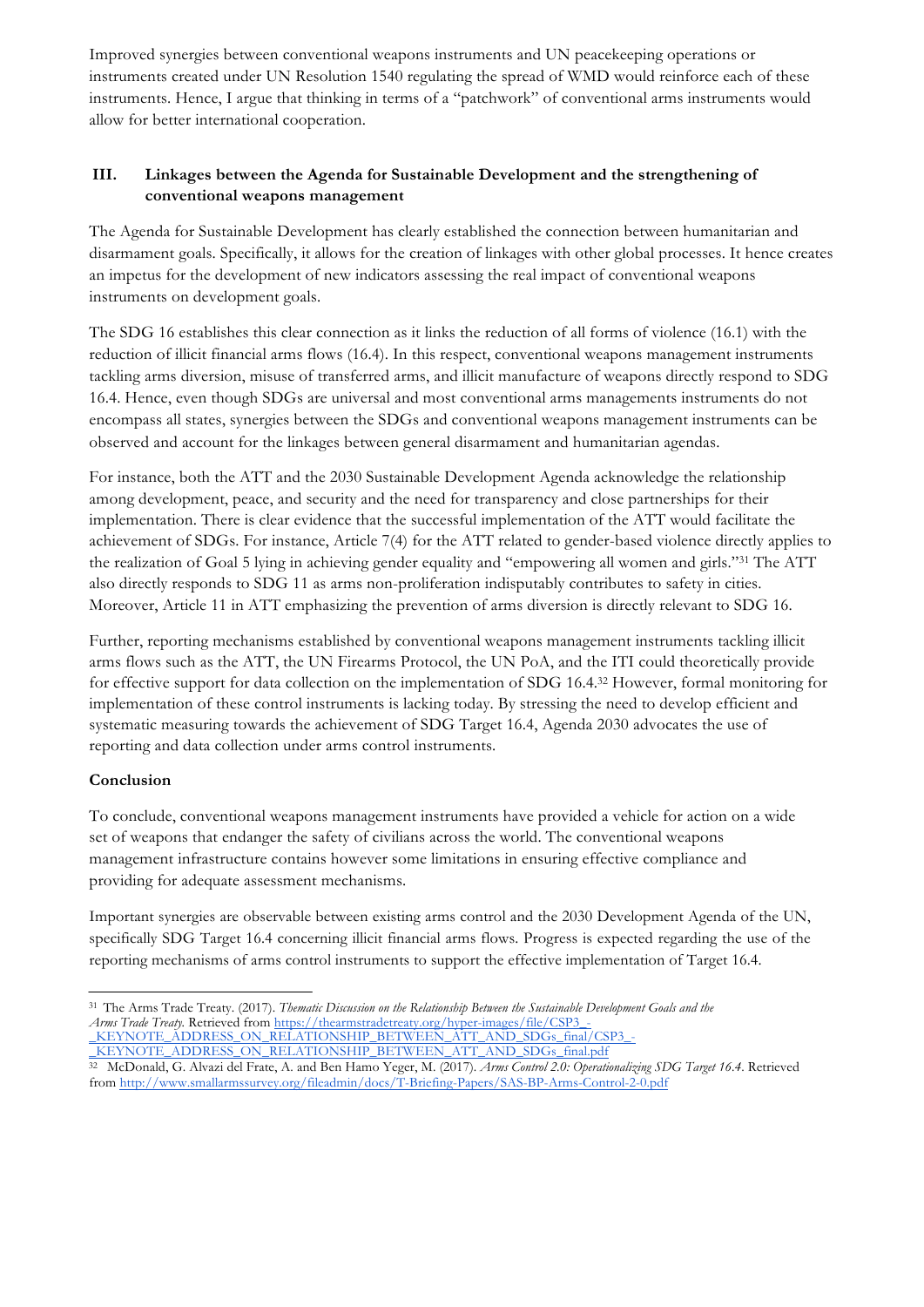Improved synergies between conventional weapons instruments and UN peacekeeping operations or instruments created under UN Resolution 1540 regulating the spread of WMD would reinforce each of these instruments. Hence, I argue that thinking in terms of a "patchwork" of conventional arms instruments would allow for better international cooperation.

### **III. Linkages between the Agenda for Sustainable Development and the strengthening of conventional weapons management**

The Agenda for Sustainable Development has clearly established the connection between humanitarian and disarmament goals. Specifically, it allows for the creation of linkages with other global processes. It hence creates an impetus for the development of new indicators assessing the real impact of conventional weapons instruments on development goals.

The SDG 16 establishes this clear connection as it links the reduction of all forms of violence (16.1) with the reduction of illicit financial arms flows (16.4). In this respect, conventional weapons management instruments tackling arms diversion, misuse of transferred arms, and illicit manufacture of weapons directly respond to SDG 16.4. Hence, even though SDGs are universal and most conventional arms managements instruments do not encompass all states, synergies between the SDGs and conventional weapons management instruments can be observed and account for the linkages between general disarmament and humanitarian agendas.

For instance, both the ATT and the 2030 Sustainable Development Agenda acknowledge the relationship among development, peace, and security and the need for transparency and close partnerships for their implementation. There is clear evidence that the successful implementation of the ATT would facilitate the achievement of SDGs. For instance, Article 7(4) for the ATT related to gender-based violence directly applies to the realization of Goal 5 lying in achieving gender equality and "empowering all women and girls."31 The ATT also directly responds to SDG 11 as arms non-proliferation indisputably contributes to safety in cities. Moreover, Article 11 in ATT emphasizing the prevention of arms diversion is directly relevant to SDG 16.

Further, reporting mechanisms established by conventional weapons management instruments tackling illicit arms flows such as the ATT, the UN Firearms Protocol, the UN PoA, and the ITI could theoretically provide for effective support for data collection on the implementation of SDG 16.4.32 However, formal monitoring for implementation of these control instruments is lacking today. By stressing the need to develop efficient and systematic measuring towards the achievement of SDG Target 16.4, Agenda 2030 advocates the use of reporting and data collection under arms control instruments.

### **Conclusion**

To conclude, conventional weapons management instruments have provided a vehicle for action on a wide set of weapons that endanger the safety of civilians across the world. The conventional weapons management infrastructure contains however some limitations in ensuring effective compliance and providing for adequate assessment mechanisms.

Important synergies are observable between existing arms control and the 2030 Development Agenda of the UN, specifically SDG Target 16.4 concerning illicit financial arms flows. Progress is expected regarding the use of the reporting mechanisms of arms control instruments to support the effective implementation of Target 16.4.

\_KEYNOTE\_ADDRESS\_ON\_RELATIONSHIP\_BETWEEN\_ATT\_AND\_SDGs\_final.pdf

<sup>31</sup> The Arms Trade Treaty. (2017). *Thematic Discussion on the Relationship Between the Sustainable Development Goals and the Arms Trade Treaty.* Retrieved from https://thearmstradetreaty.org/hyper-images/file/CSP3\_- \_KEYNOTE\_ADDRESS\_ON\_RELATIONSHIP\_BETWEEN\_ATT\_AND\_SDGs\_final/CSP3\_-

<sup>32</sup> McDonald, G. Alvazi del Frate, A. and Ben Hamo Yeger, M. (2017). *Arms Control 2.0: Operationalizing SDG Target 16.4*. Retrieved from http://www.smallarmssurvey.org/fileadmin/docs/T-Briefing-Papers/SAS-BP-Arms-Control-2-0.pdf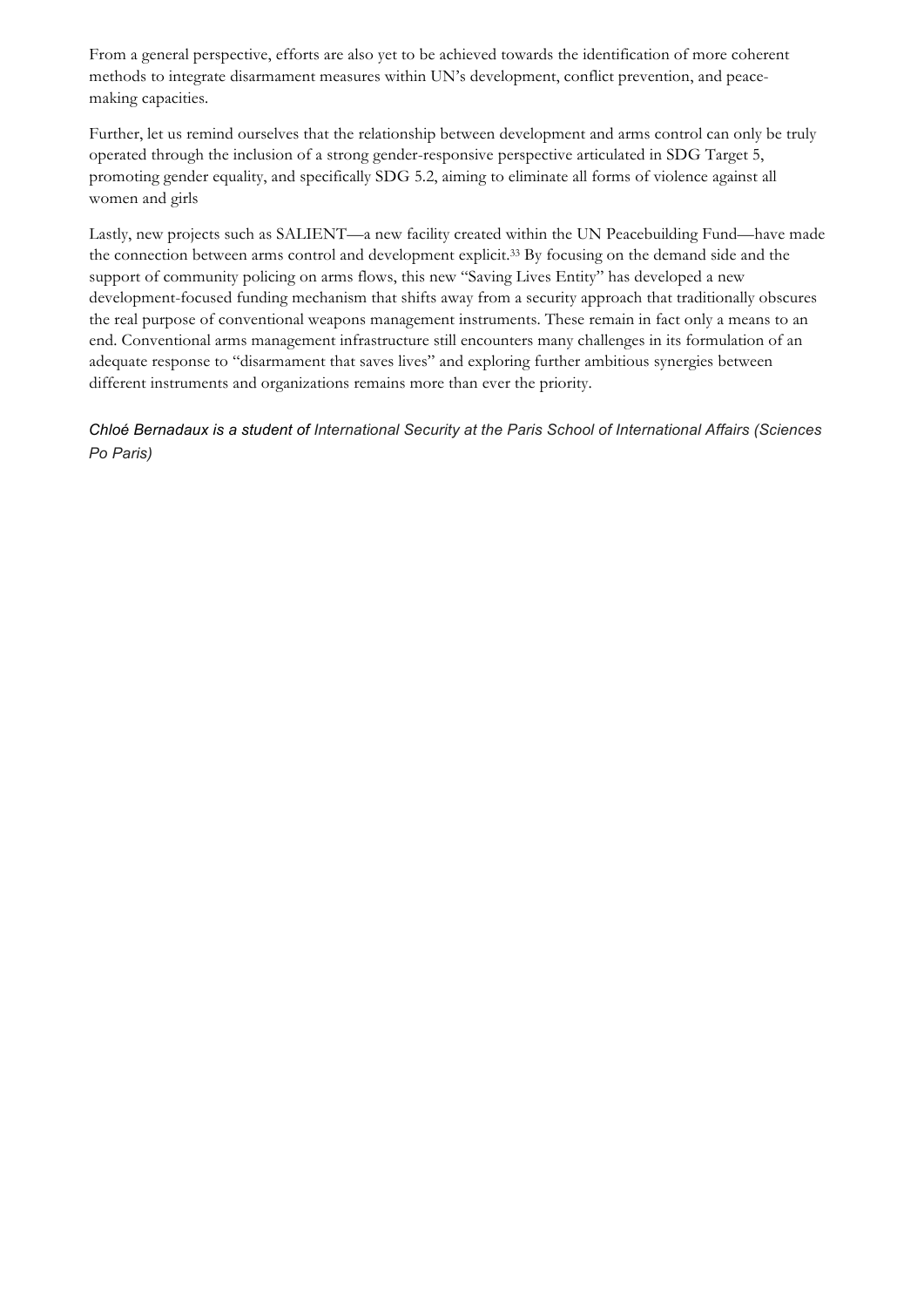From a general perspective, efforts are also yet to be achieved towards the identification of more coherent methods to integrate disarmament measures within UN's development, conflict prevention, and peacemaking capacities.

Further, let us remind ourselves that the relationship between development and arms control can only be truly operated through the inclusion of a strong gender-responsive perspective articulated in SDG Target 5, promoting gender equality, and specifically SDG 5.2, aiming to eliminate all forms of violence against all women and girls

Lastly, new projects such as SALIENT—a new facility created within the UN Peacebuilding Fund—have made the connection between arms control and development explicit.33 By focusing on the demand side and the support of community policing on arms flows, this new "Saving Lives Entity" has developed a new development-focused funding mechanism that shifts away from a security approach that traditionally obscures the real purpose of conventional weapons management instruments. These remain in fact only a means to an end. Conventional arms management infrastructure still encounters many challenges in its formulation of an adequate response to "disarmament that saves lives" and exploring further ambitious synergies between different instruments and organizations remains more than ever the priority.

# *Chloé Bernadaux is a student of International Security at the Paris School of International Affairs (Sciences Po Paris)*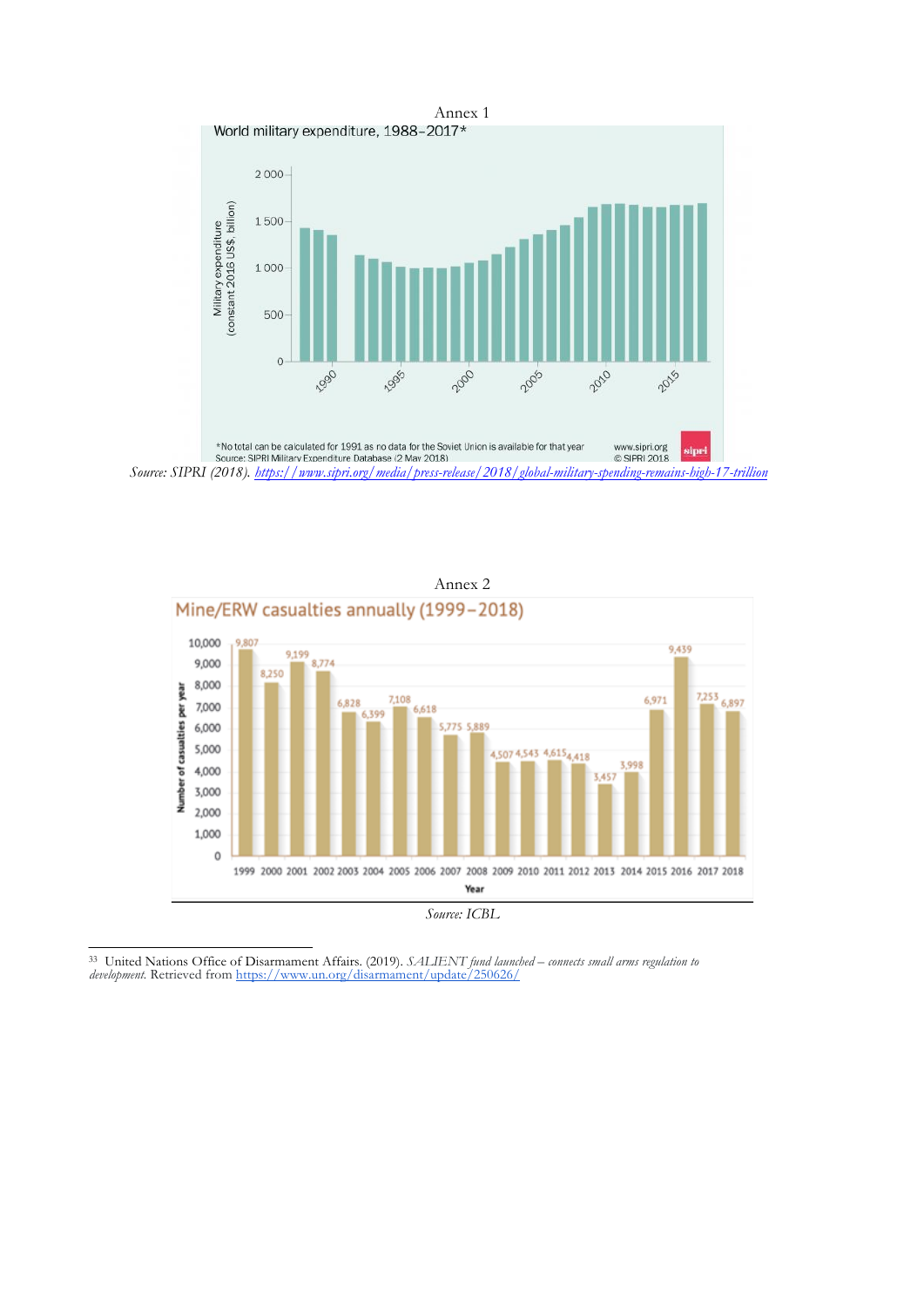



<sup>33</sup> United Nations Office of Disarmament Affairs. (2019). *SALIENT fund launched – connects small arms regulation to development.* Retrieved from https://www.un.org/disarmament/update/250626/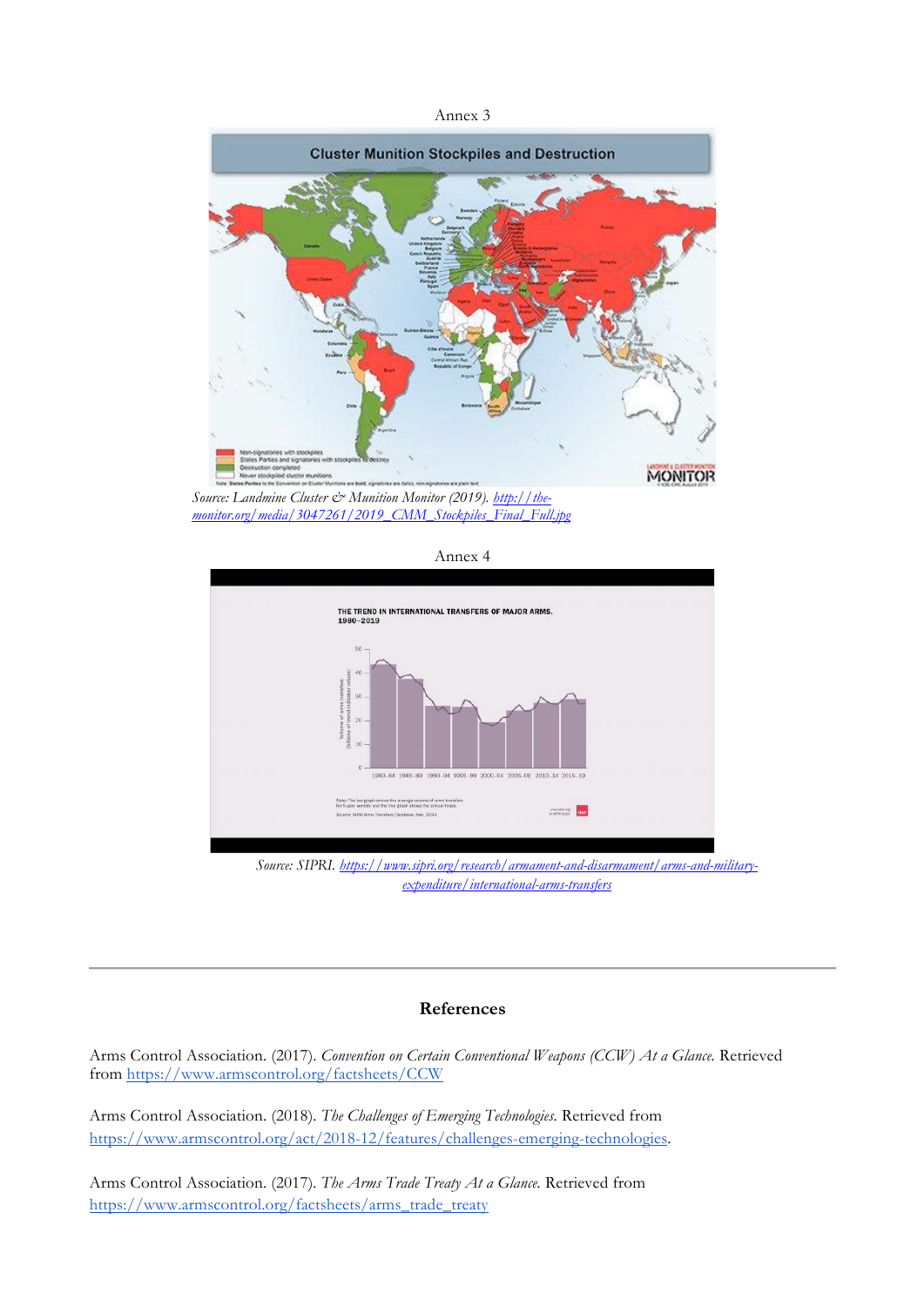



*Source: Landmine Cluster & Munition Monitor (2019). http://themonitor.org/media/3047261/2019\_CMM\_Stockpiles\_Final\_Full.jpg*





*expenditure/international-arms-transfers*

#### **References**

Arms Control Association. (2017). *Convention on Certain Conventional Weapons (CCW) At a Glance*. Retrieved from https://www.armscontrol.org/factsheets/CCW

Arms Control Association. (2018). *The Challenges of Emerging Technologies.* Retrieved from https://www.armscontrol.org/act/2018-12/features/challenges-emerging-technologies.

Arms Control Association. (2017). *The Arms Trade Treaty At a Glance.* Retrieved from https://www.armscontrol.org/factsheets/arms\_trade\_treaty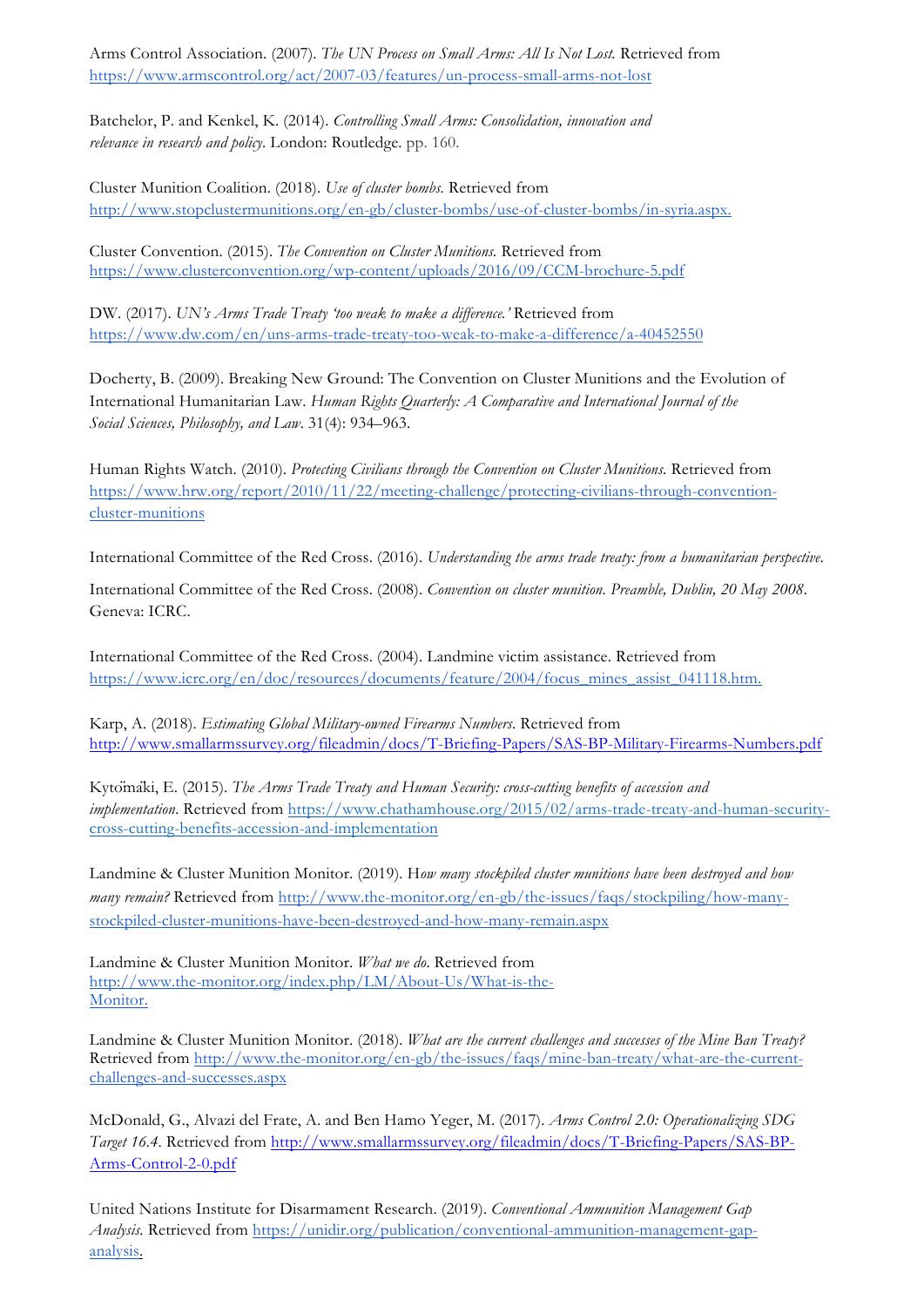Arms Control Association. (2007). *The UN Process on Small Arms: All Is Not Lost.* Retrieved from https://www.armscontrol.org/act/2007-03/features/un-process-small-arms-not-lost

Batchelor, P. and Kenkel, K. (2014). *Controlling Small Arms: Consolidation, innovation and relevance in research and policy*. London: Routledge. pp. 160.

Cluster Munition Coalition. (2018). *Use of cluster bombs.* Retrieved from http://www.stopclustermunitions.org/en-gb/cluster-bombs/use-of-cluster-bombs/in-syria.aspx.

Cluster Convention. (2015). *The Convention on Cluster Munitions.* Retrieved from https://www.clusterconvention.org/wp-content/uploads/2016/09/CCM-brochure-5.pdf

DW. (2017). *UN's Arms Trade Treaty 'too weak to make a difference.'* Retrieved from https://www.dw.com/en/uns-arms-trade-treaty-too-weak-to-make-a-difference/a-40452550

Docherty, B. (2009). Breaking New Ground: The Convention on Cluster Munitions and the Evolution of International Humanitarian Law. *Human Rights Quarterly: A Comparative and International Journal of the Social Sciences, Philosophy, and Law*. 31(4): 934–963.

Human Rights Watch. (2010). *Protecting Civilians through the Convention on Cluster Munitions.* Retrieved from https://www.hrw.org/report/2010/11/22/meeting-challenge/protecting-civilians-through-conventioncluster-munitions

International Committee of the Red Cross. (2016). *Understanding the arms trade treaty: from a humanitarian perspective*.

International Committee of the Red Cross. (2008). *Convention on cluster munition. Preamble, Dublin, 20 May 2008*. Geneva: ICRC.

International Committee of the Red Cross. (2004). Landmine victim assistance. Retrieved from https://www.icrc.org/en/doc/resources/documents/feature/2004/focus\_mines\_assist\_041118.htm.

Karp, A. (2018). *Estimating Global Military-owned Firearms Numbers*. Retrieved from http://www.smallarmssurvey.org/fileadmin/docs/T-Briefing-Papers/SAS-BP-Military-Firearms-Numbers.pdf

Kytömäki, E. (2015). *The Arms Trade Treaty and Human Security: cross-cutting benefits of accession and implementation*. Retrieved from https://www.chathamhouse.org/2015/02/arms-trade-treaty-and-human-securitycross-cutting-benefits-accession-and-implementation

Landmine & Cluster Munition Monitor. (2019). H*ow many stockpiled cluster munitions have been destroyed and how many remain?* Retrieved from http://www.the-monitor.org/en-gb/the-issues/faqs/stockpiling/how-manystockpiled-cluster-munitions-have-been-destroyed-and-how-many-remain.aspx

Landmine & Cluster Munition Monitor. *What we do*. Retrieved from http://www.the-monitor.org/index.php/LM/About-Us/What-is-the-Monitor.

Landmine & Cluster Munition Monitor. (2018). *What are the current challenges and successes of the Mine Ban Treaty?*  Retrieved from http://www.the-monitor.org/en-gb/the-issues/faqs/mine-ban-treaty/what-are-the-currentchallenges-and-successes.aspx

McDonald, G., Alvazi del Frate, A. and Ben Hamo Yeger, M. (2017). *Arms Control 2.0: Operationalizing SDG Target 16.4*. Retrieved from http://www.smallarmssurvey.org/fileadmin/docs/T-Briefing-Papers/SAS-BP-Arms-Control-2-0.pdf

United Nations Institute for Disarmament Research. (2019). *Conventional Ammunition Management Gap Analysis.* Retrieved from https://unidir.org/publication/conventional-ammunition-management-gapanalysis.